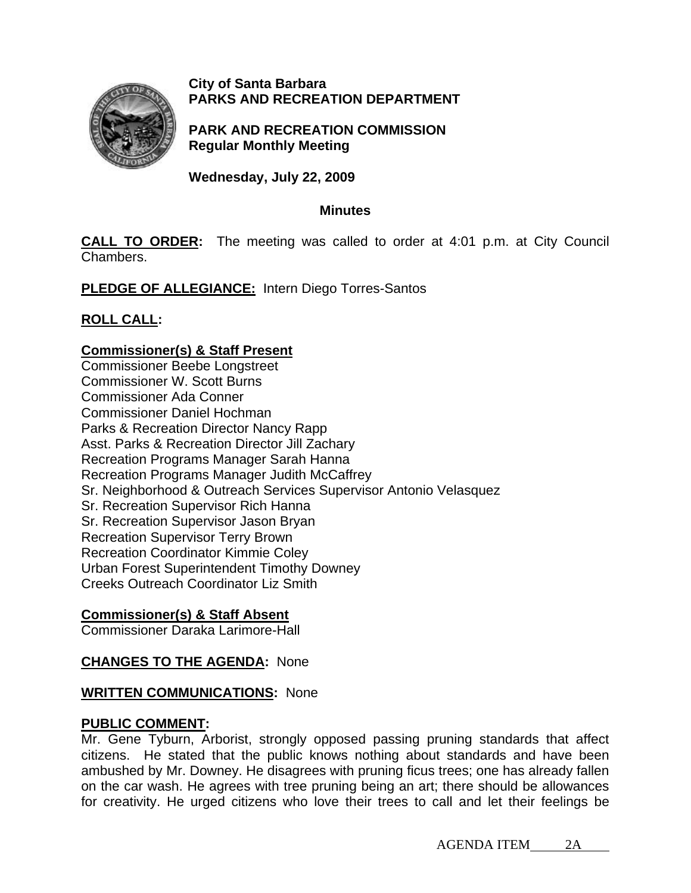

### **City of Santa Barbara PARKS AND RECREATION DEPARTMENT**

**PARK AND RECREATION COMMISSION Regular Monthly Meeting** 

**Wednesday, July 22, 2009** 

### **Minutes**

**CALL TO ORDER:** The meeting was called to order at 4:01 p.m. at City Council Chambers.

**PLEDGE OF ALLEGIANCE:** Intern Diego Torres-Santos

# **ROLL CALL:**

# **Commissioner(s) & Staff Present**

Commissioner Beebe Longstreet Commissioner W. Scott Burns Commissioner Ada Conner Commissioner Daniel Hochman Parks & Recreation Director Nancy Rapp Asst. Parks & Recreation Director Jill Zachary Recreation Programs Manager Sarah Hanna Recreation Programs Manager Judith McCaffrey Sr. Neighborhood & Outreach Services Supervisor Antonio Velasquez Sr. Recreation Supervisor Rich Hanna Sr. Recreation Supervisor Jason Bryan Recreation Supervisor Terry Brown Recreation Coordinator Kimmie Coley Urban Forest Superintendent Timothy Downey Creeks Outreach Coordinator Liz Smith

## **Commissioner(s) & Staff Absent**

Commissioner Daraka Larimore-Hall

# **CHANGES TO THE AGENDA:** None

## **WRITTEN COMMUNICATIONS:** None

## **PUBLIC COMMENT:**

Mr. Gene Tyburn, Arborist, strongly opposed passing pruning standards that affect citizens. He stated that the public knows nothing about standards and have been ambushed by Mr. Downey. He disagrees with pruning ficus trees; one has already fallen on the car wash. He agrees with tree pruning being an art; there should be allowances for creativity. He urged citizens who love their trees to call and let their feelings be

AGENDA ITEM 2A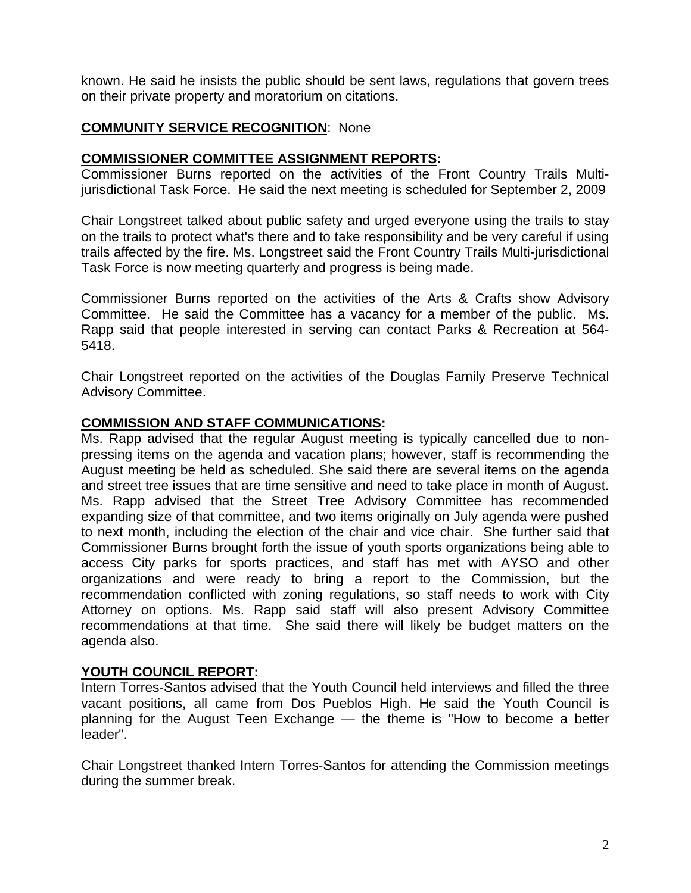known. He said he insists the public should be sent laws, regulations that govern trees on their private property and moratorium on citations.

## **COMMUNITY SERVICE RECOGNITION**: None

### **COMMISSIONER COMMITTEE ASSIGNMENT REPORTS:**

Commissioner Burns reported on the activities of the Front Country Trails Multijurisdictional Task Force. He said the next meeting is scheduled for September 2, 2009

Chair Longstreet talked about public safety and urged everyone using the trails to stay on the trails to protect what's there and to take responsibility and be very careful if using trails affected by the fire. Ms. Longstreet said the Front Country Trails Multi-jurisdictional Task Force is now meeting quarterly and progress is being made.

Commissioner Burns reported on the activities of the Arts & Crafts show Advisory Committee. He said the Committee has a vacancy for a member of the public. Ms. Rapp said that people interested in serving can contact Parks & Recreation at 564- 5418.

Chair Longstreet reported on the activities of the Douglas Family Preserve Technical Advisory Committee.

#### **COMMISSION AND STAFF COMMUNICATIONS:**

Ms. Rapp advised that the regular August meeting is typically cancelled due to nonpressing items on the agenda and vacation plans; however, staff is recommending the August meeting be held as scheduled. She said there are several items on the agenda and street tree issues that are time sensitive and need to take place in month of August. Ms. Rapp advised that the Street Tree Advisory Committee has recommended expanding size of that committee, and two items originally on July agenda were pushed to next month, including the election of the chair and vice chair. She further said that Commissioner Burns brought forth the issue of youth sports organizations being able to access City parks for sports practices, and staff has met with AYSO and other organizations and were ready to bring a report to the Commission, but the recommendation conflicted with zoning regulations, so staff needs to work with City Attorney on options. Ms. Rapp said staff will also present Advisory Committee recommendations at that time. She said there will likely be budget matters on the agenda also.

### **YOUTH COUNCIL REPORT:**

Intern Torres-Santos advised that the Youth Council held interviews and filled the three vacant positions, all came from Dos Pueblos High. He said the Youth Council is planning for the August Teen Exchange — the theme is "How to become a better leader".

Chair Longstreet thanked Intern Torres-Santos for attending the Commission meetings during the summer break.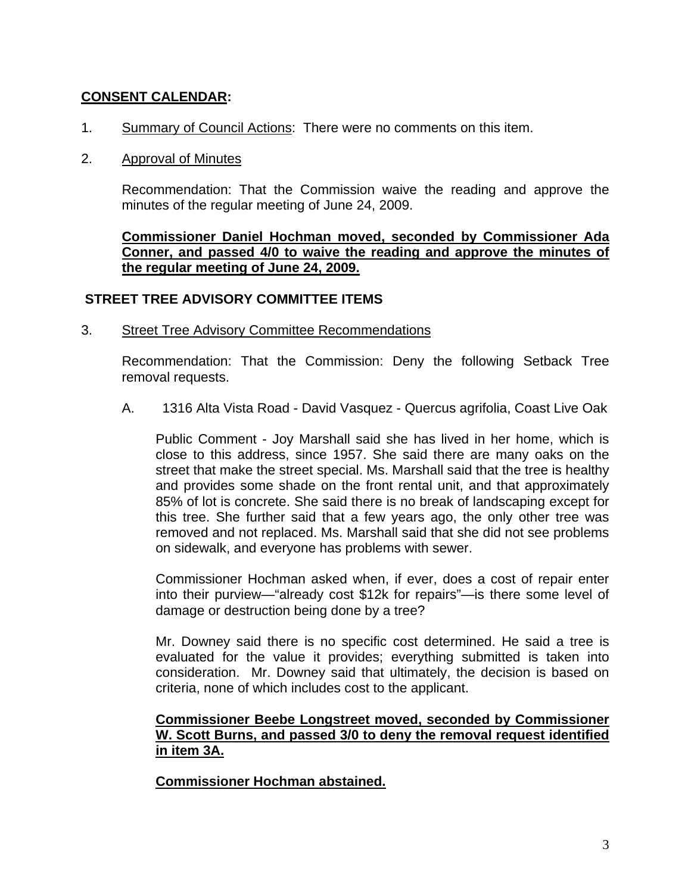### **CONSENT CALENDAR:**

1. **Summary of Council Actions: There were no comments on this item.** 

#### 2. Approval of Minutes

Recommendation: That the Commission waive the reading and approve the minutes of the regular meeting of June 24, 2009.

**Commissioner Daniel Hochman moved, seconded by Commissioner Ada Conner, and passed 4/0 to waive the reading and approve the minutes of the regular meeting of June 24, 2009.** 

#### **STREET TREE ADVISORY COMMITTEE ITEMS**

3.Street Tree Advisory Committee Recommendations

Recommendation: That the Commission: Deny the following Setback Tree removal requests.

A. 1316 Alta Vista Road - David Vasquez - Quercus agrifolia, Coast Live Oak

Public Comment - Joy Marshall said she has lived in her home, which is close to this address, since 1957. She said there are many oaks on the street that make the street special. Ms. Marshall said that the tree is healthy and provides some shade on the front rental unit, and that approximately 85% of lot is concrete. She said there is no break of landscaping except for this tree. She further said that a few years ago, the only other tree was removed and not replaced. Ms. Marshall said that she did not see problems on sidewalk, and everyone has problems with sewer.

Commissioner Hochman asked when, if ever, does a cost of repair enter into their purview—"already cost \$12k for repairs"—is there some level of damage or destruction being done by a tree?

Mr. Downey said there is no specific cost determined. He said a tree is evaluated for the value it provides; everything submitted is taken into consideration. Mr. Downey said that ultimately, the decision is based on criteria, none of which includes cost to the applicant.

#### **Commissioner Beebe Longstreet moved, seconded by Commissioner W. Scott Burns, and passed 3/0 to deny the removal request identified in item 3A.**

**Commissioner Hochman abstained.**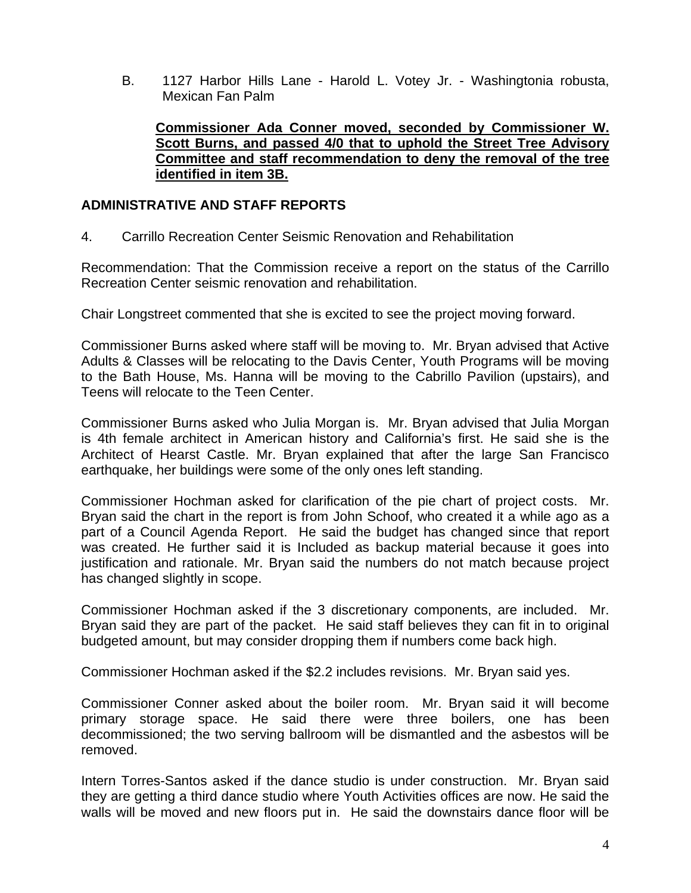B. 1127 Harbor Hills Lane - Harold L. Votey Jr. - Washingtonia robusta, Mexican Fan Palm

**Commissioner Ada Conner moved, seconded by Commissioner W. Scott Burns, and passed 4/0 that to uphold the Street Tree Advisory Committee and staff recommendation to deny the removal of the tree identified in item 3B.**

#### **ADMINISTRATIVE AND STAFF REPORTS**

4. Carrillo Recreation Center Seismic Renovation and Rehabilitation

Recommendation: That the Commission receive a report on the status of the Carrillo Recreation Center seismic renovation and rehabilitation.

Chair Longstreet commented that she is excited to see the project moving forward.

Commissioner Burns asked where staff will be moving to. Mr. Bryan advised that Active Adults & Classes will be relocating to the Davis Center, Youth Programs will be moving to the Bath House, Ms. Hanna will be moving to the Cabrillo Pavilion (upstairs), and Teens will relocate to the Teen Center.

Commissioner Burns asked who Julia Morgan is. Mr. Bryan advised that Julia Morgan is 4th female architect in American history and California's first. He said she is the Architect of Hearst Castle. Mr. Bryan explained that after the large San Francisco earthquake, her buildings were some of the only ones left standing.

Commissioner Hochman asked for clarification of the pie chart of project costs. Mr. Bryan said the chart in the report is from John Schoof, who created it a while ago as a part of a Council Agenda Report. He said the budget has changed since that report was created. He further said it is Included as backup material because it goes into justification and rationale. Mr. Bryan said the numbers do not match because project has changed slightly in scope.

Commissioner Hochman asked if the 3 discretionary components, are included. Mr. Bryan said they are part of the packet. He said staff believes they can fit in to original budgeted amount, but may consider dropping them if numbers come back high.

Commissioner Hochman asked if the \$2.2 includes revisions. Mr. Bryan said yes.

Commissioner Conner asked about the boiler room. Mr. Bryan said it will become primary storage space. He said there were three boilers, one has been decommissioned; the two serving ballroom will be dismantled and the asbestos will be removed.

Intern Torres-Santos asked if the dance studio is under construction. Mr. Bryan said they are getting a third dance studio where Youth Activities offices are now. He said the walls will be moved and new floors put in. He said the downstairs dance floor will be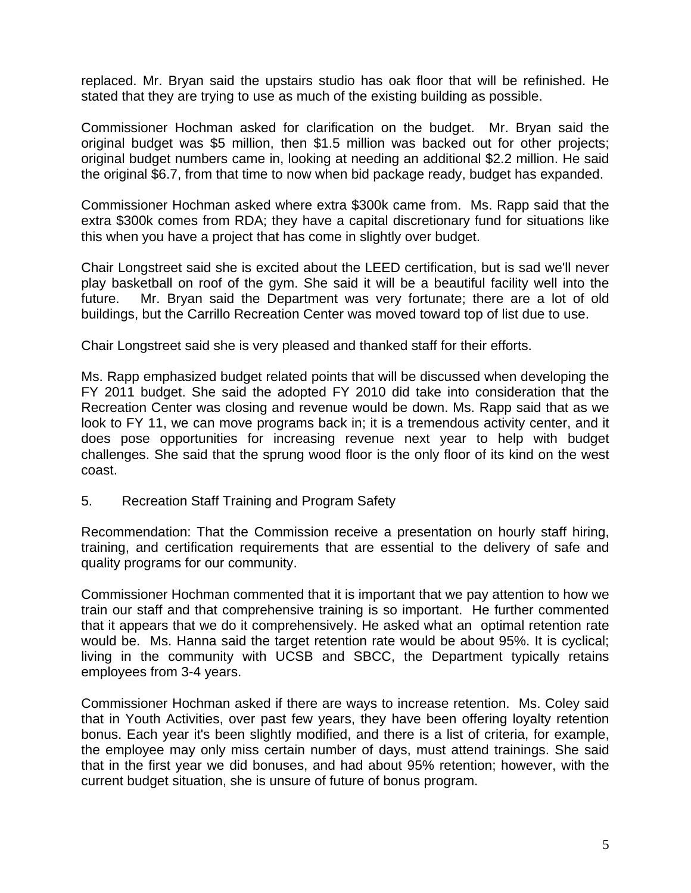replaced. Mr. Bryan said the upstairs studio has oak floor that will be refinished. He stated that they are trying to use as much of the existing building as possible.

Commissioner Hochman asked for clarification on the budget. Mr. Bryan said the original budget was \$5 million, then \$1.5 million was backed out for other projects; original budget numbers came in, looking at needing an additional \$2.2 million. He said the original \$6.7, from that time to now when bid package ready, budget has expanded.

Commissioner Hochman asked where extra \$300k came from. Ms. Rapp said that the extra \$300k comes from RDA; they have a capital discretionary fund for situations like this when you have a project that has come in slightly over budget.

Chair Longstreet said she is excited about the LEED certification, but is sad we'll never play basketball on roof of the gym. She said it will be a beautiful facility well into the future. Mr. Bryan said the Department was very fortunate; there are a lot of old buildings, but the Carrillo Recreation Center was moved toward top of list due to use.

Chair Longstreet said she is very pleased and thanked staff for their efforts.

Ms. Rapp emphasized budget related points that will be discussed when developing the FY 2011 budget. She said the adopted FY 2010 did take into consideration that the Recreation Center was closing and revenue would be down. Ms. Rapp said that as we look to FY 11, we can move programs back in; it is a tremendous activity center, and it does pose opportunities for increasing revenue next year to help with budget challenges. She said that the sprung wood floor is the only floor of its kind on the west coast.

5.Recreation Staff Training and Program Safety

Recommendation: That the Commission receive a presentation on hourly staff hiring, training, and certification requirements that are essential to the delivery of safe and quality programs for our community.

Commissioner Hochman commented that it is important that we pay attention to how we train our staff and that comprehensive training is so important. He further commented that it appears that we do it comprehensively. He asked what an optimal retention rate would be. Ms. Hanna said the target retention rate would be about 95%. It is cyclical; living in the community with UCSB and SBCC, the Department typically retains employees from 3-4 years.

Commissioner Hochman asked if there are ways to increase retention. Ms. Coley said that in Youth Activities, over past few years, they have been offering loyalty retention bonus. Each year it's been slightly modified, and there is a list of criteria, for example, the employee may only miss certain number of days, must attend trainings. She said that in the first year we did bonuses, and had about 95% retention; however, with the current budget situation, she is unsure of future of bonus program.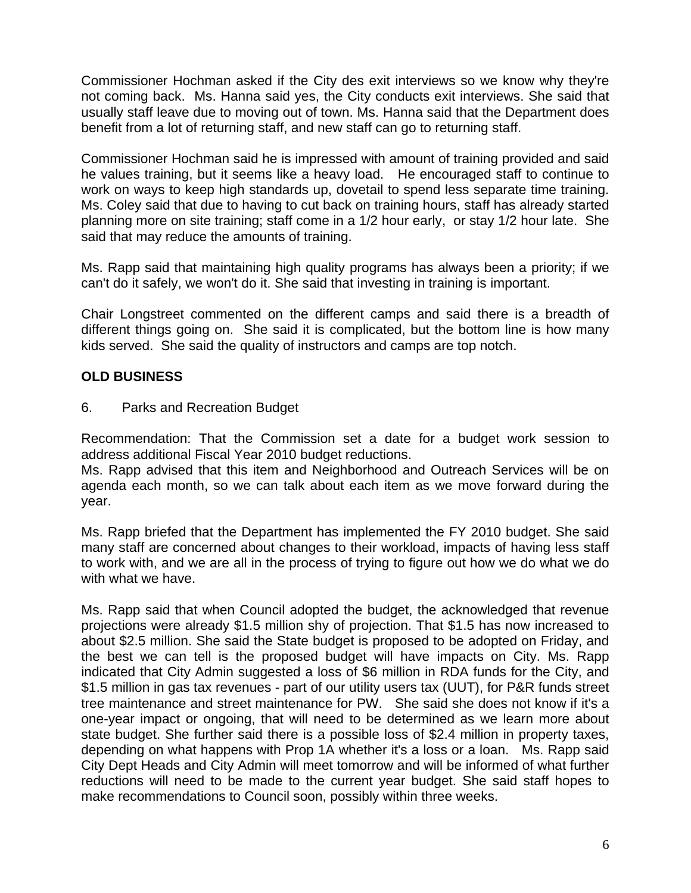Commissioner Hochman asked if the City des exit interviews so we know why they're not coming back. Ms. Hanna said yes, the City conducts exit interviews. She said that usually staff leave due to moving out of town. Ms. Hanna said that the Department does benefit from a lot of returning staff, and new staff can go to returning staff.

Commissioner Hochman said he is impressed with amount of training provided and said he values training, but it seems like a heavy load. He encouraged staff to continue to work on ways to keep high standards up, dovetail to spend less separate time training. Ms. Coley said that due to having to cut back on training hours, staff has already started planning more on site training; staff come in a 1/2 hour early, or stay 1/2 hour late. She said that may reduce the amounts of training.

Ms. Rapp said that maintaining high quality programs has always been a priority; if we can't do it safely, we won't do it. She said that investing in training is important.

Chair Longstreet commented on the different camps and said there is a breadth of different things going on. She said it is complicated, but the bottom line is how many kids served. She said the quality of instructors and camps are top notch.

# **OLD BUSINESS**

6. Parks and Recreation Budget

Recommendation: That the Commission set a date for a budget work session to address additional Fiscal Year 2010 budget reductions.

Ms. Rapp advised that this item and Neighborhood and Outreach Services will be on agenda each month, so we can talk about each item as we move forward during the year.

Ms. Rapp briefed that the Department has implemented the FY 2010 budget. She said many staff are concerned about changes to their workload, impacts of having less staff to work with, and we are all in the process of trying to figure out how we do what we do with what we have.

Ms. Rapp said that when Council adopted the budget, the acknowledged that revenue projections were already \$1.5 million shy of projection. That \$1.5 has now increased to about \$2.5 million. She said the State budget is proposed to be adopted on Friday, and the best we can tell is the proposed budget will have impacts on City. Ms. Rapp indicated that City Admin suggested a loss of \$6 million in RDA funds for the City, and \$1.5 million in gas tax revenues - part of our utility users tax (UUT), for P&R funds street tree maintenance and street maintenance for PW. She said she does not know if it's a one-year impact or ongoing, that will need to be determined as we learn more about state budget. She further said there is a possible loss of \$2.4 million in property taxes, depending on what happens with Prop 1A whether it's a loss or a loan. Ms. Rapp said City Dept Heads and City Admin will meet tomorrow and will be informed of what further reductions will need to be made to the current year budget. She said staff hopes to make recommendations to Council soon, possibly within three weeks.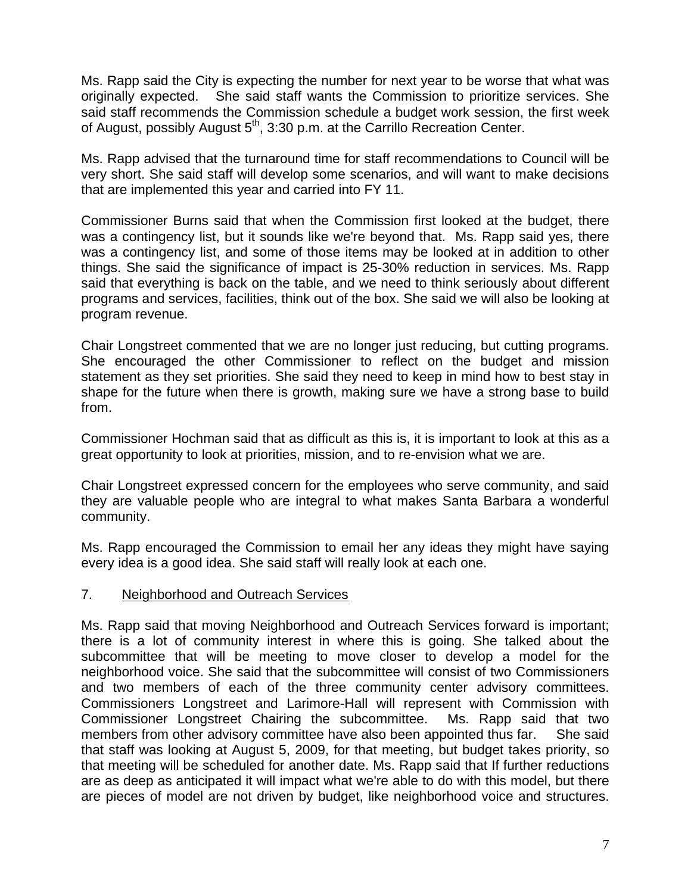Ms. Rapp said the City is expecting the number for next year to be worse that what was originally expected. She said staff wants the Commission to prioritize services. She said staff recommends the Commission schedule a budget work session, the first week of August, possibly August 5<sup>th</sup>, 3:30 p.m. at the Carrillo Recreation Center.

Ms. Rapp advised that the turnaround time for staff recommendations to Council will be very short. She said staff will develop some scenarios, and will want to make decisions that are implemented this year and carried into FY 11.

Commissioner Burns said that when the Commission first looked at the budget, there was a contingency list, but it sounds like we're beyond that. Ms. Rapp said yes, there was a contingency list, and some of those items may be looked at in addition to other things. She said the significance of impact is 25-30% reduction in services. Ms. Rapp said that everything is back on the table, and we need to think seriously about different programs and services, facilities, think out of the box. She said we will also be looking at program revenue.

Chair Longstreet commented that we are no longer just reducing, but cutting programs. She encouraged the other Commissioner to reflect on the budget and mission statement as they set priorities. She said they need to keep in mind how to best stay in shape for the future when there is growth, making sure we have a strong base to build from.

Commissioner Hochman said that as difficult as this is, it is important to look at this as a great opportunity to look at priorities, mission, and to re-envision what we are.

Chair Longstreet expressed concern for the employees who serve community, and said they are valuable people who are integral to what makes Santa Barbara a wonderful community.

Ms. Rapp encouraged the Commission to email her any ideas they might have saying every idea is a good idea. She said staff will really look at each one.

#### 7.Neighborhood and Outreach Services

Ms. Rapp said that moving Neighborhood and Outreach Services forward is important; there is a lot of community interest in where this is going. She talked about the subcommittee that will be meeting to move closer to develop a model for the neighborhood voice. She said that the subcommittee will consist of two Commissioners and two members of each of the three community center advisory committees. Commissioners Longstreet and Larimore-Hall will represent with Commission with Commissioner Longstreet Chairing the subcommittee. Ms. Rapp said that two members from other advisory committee have also been appointed thus far. She said that staff was looking at August 5, 2009, for that meeting, but budget takes priority, so that meeting will be scheduled for another date. Ms. Rapp said that If further reductions are as deep as anticipated it will impact what we're able to do with this model, but there are pieces of model are not driven by budget, like neighborhood voice and structures.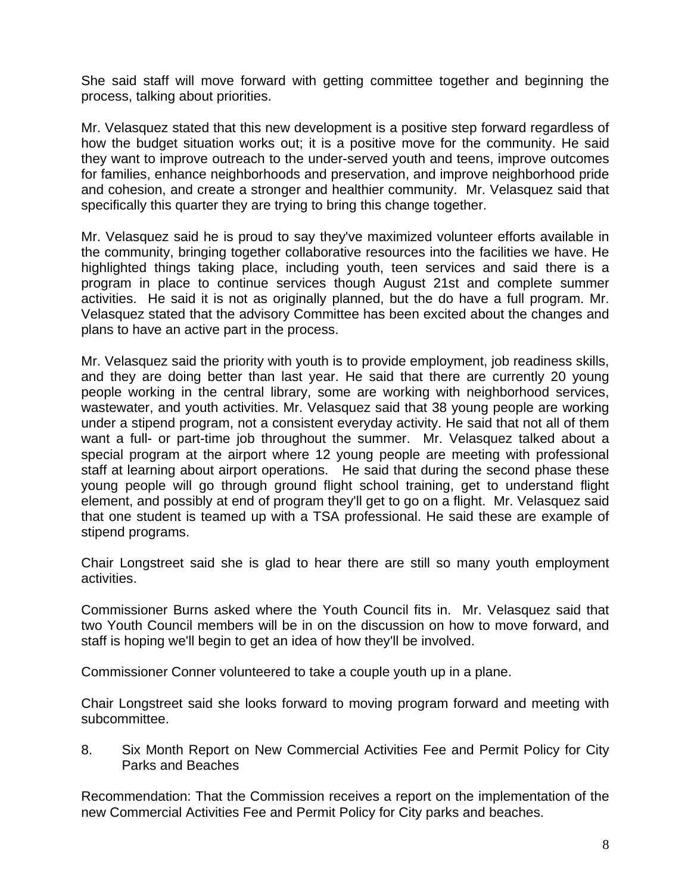She said staff will move forward with getting committee together and beginning the process, talking about priorities.

Mr. Velasquez stated that this new development is a positive step forward regardless of how the budget situation works out; it is a positive move for the community. He said they want to improve outreach to the under-served youth and teens, improve outcomes for families, enhance neighborhoods and preservation, and improve neighborhood pride and cohesion, and create a stronger and healthier community. Mr. Velasquez said that specifically this quarter they are trying to bring this change together.

Mr. Velasquez said he is proud to say they've maximized volunteer efforts available in the community, bringing together collaborative resources into the facilities we have. He highlighted things taking place, including youth, teen services and said there is a program in place to continue services though August 21st and complete summer activities. He said it is not as originally planned, but the do have a full program. Mr. Velasquez stated that the advisory Committee has been excited about the changes and plans to have an active part in the process.

Mr. Velasquez said the priority with youth is to provide employment, job readiness skills, and they are doing better than last year. He said that there are currently 20 young people working in the central library, some are working with neighborhood services, wastewater, and youth activities. Mr. Velasquez said that 38 young people are working under a stipend program, not a consistent everyday activity. He said that not all of them want a full- or part-time job throughout the summer. Mr. Velasquez talked about a special program at the airport where 12 young people are meeting with professional staff at learning about airport operations. He said that during the second phase these young people will go through ground flight school training, get to understand flight element, and possibly at end of program they'll get to go on a flight. Mr. Velasquez said that one student is teamed up with a TSA professional. He said these are example of stipend programs.

Chair Longstreet said she is glad to hear there are still so many youth employment activities.

Commissioner Burns asked where the Youth Council fits in. Mr. Velasquez said that two Youth Council members will be in on the discussion on how to move forward, and staff is hoping we'll begin to get an idea of how they'll be involved.

Commissioner Conner volunteered to take a couple youth up in a plane.

Chair Longstreet said she looks forward to moving program forward and meeting with subcommittee.

8.Six Month Report on New Commercial Activities Fee and Permit Policy for City Parks and Beaches

Recommendation: That the Commission receives a report on the implementation of the new Commercial Activities Fee and Permit Policy for City parks and beaches.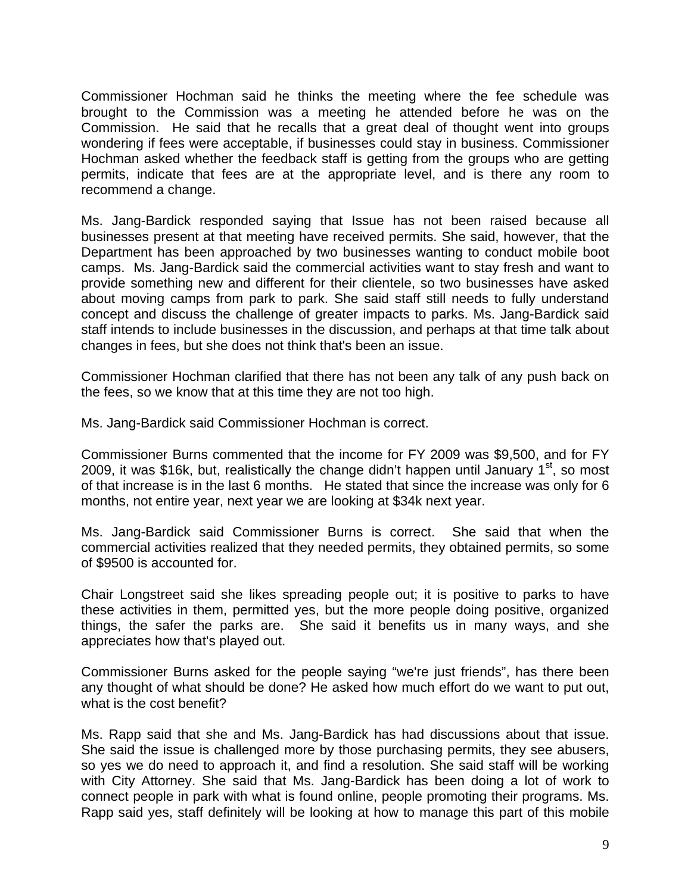Commissioner Hochman said he thinks the meeting where the fee schedule was brought to the Commission was a meeting he attended before he was on the Commission. He said that he recalls that a great deal of thought went into groups wondering if fees were acceptable, if businesses could stay in business. Commissioner Hochman asked whether the feedback staff is getting from the groups who are getting permits, indicate that fees are at the appropriate level, and is there any room to recommend a change.

Ms. Jang-Bardick responded saying that Issue has not been raised because all businesses present at that meeting have received permits. She said, however, that the Department has been approached by two businesses wanting to conduct mobile boot camps. Ms. Jang-Bardick said the commercial activities want to stay fresh and want to provide something new and different for their clientele, so two businesses have asked about moving camps from park to park. She said staff still needs to fully understand concept and discuss the challenge of greater impacts to parks. Ms. Jang-Bardick said staff intends to include businesses in the discussion, and perhaps at that time talk about changes in fees, but she does not think that's been an issue.

Commissioner Hochman clarified that there has not been any talk of any push back on the fees, so we know that at this time they are not too high.

Ms. Jang-Bardick said Commissioner Hochman is correct.

Commissioner Burns commented that the income for FY 2009 was \$9,500, and for FY 2009, it was \$16k, but, realistically the change didn't happen until January  $1<sup>st</sup>$ , so most of that increase is in the last 6 months. He stated that since the increase was only for 6 months, not entire year, next year we are looking at \$34k next year.

Ms. Jang-Bardick said Commissioner Burns is correct. She said that when the commercial activities realized that they needed permits, they obtained permits, so some of \$9500 is accounted for.

Chair Longstreet said she likes spreading people out; it is positive to parks to have these activities in them, permitted yes, but the more people doing positive, organized things, the safer the parks are. She said it benefits us in many ways, and she appreciates how that's played out.

Commissioner Burns asked for the people saying "we're just friends", has there been any thought of what should be done? He asked how much effort do we want to put out, what is the cost benefit?

Ms. Rapp said that she and Ms. Jang-Bardick has had discussions about that issue. She said the issue is challenged more by those purchasing permits, they see abusers, so yes we do need to approach it, and find a resolution. She said staff will be working with City Attorney. She said that Ms. Jang-Bardick has been doing a lot of work to connect people in park with what is found online, people promoting their programs. Ms. Rapp said yes, staff definitely will be looking at how to manage this part of this mobile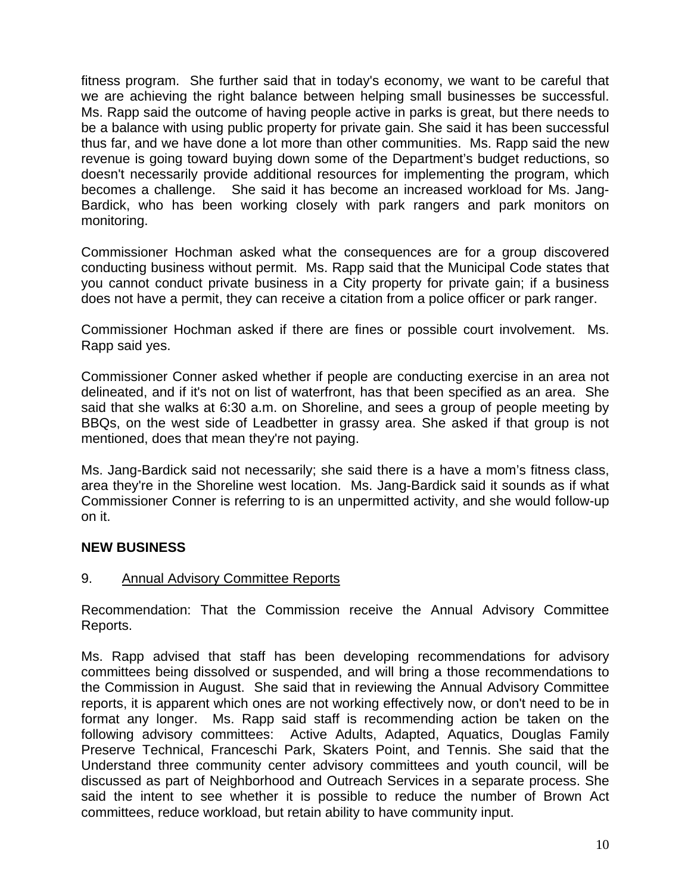fitness program. She further said that in today's economy, we want to be careful that we are achieving the right balance between helping small businesses be successful. Ms. Rapp said the outcome of having people active in parks is great, but there needs to be a balance with using public property for private gain. She said it has been successful thus far, and we have done a lot more than other communities. Ms. Rapp said the new revenue is going toward buying down some of the Department's budget reductions, so doesn't necessarily provide additional resources for implementing the program, which becomes a challenge. She said it has become an increased workload for Ms. Jang-Bardick, who has been working closely with park rangers and park monitors on monitoring.

Commissioner Hochman asked what the consequences are for a group discovered conducting business without permit. Ms. Rapp said that the Municipal Code states that you cannot conduct private business in a City property for private gain; if a business does not have a permit, they can receive a citation from a police officer or park ranger.

Commissioner Hochman asked if there are fines or possible court involvement. Ms. Rapp said yes.

Commissioner Conner asked whether if people are conducting exercise in an area not delineated, and if it's not on list of waterfront, has that been specified as an area. She said that she walks at 6:30 a.m. on Shoreline, and sees a group of people meeting by BBQs, on the west side of Leadbetter in grassy area. She asked if that group is not mentioned, does that mean they're not paying.

Ms. Jang-Bardick said not necessarily; she said there is a have a mom's fitness class, area they're in the Shoreline west location. Ms. Jang-Bardick said it sounds as if what Commissioner Conner is referring to is an unpermitted activity, and she would follow-up on it.

## **NEW BUSINESS**

#### 9. Annual Advisory Committee Reports

Recommendation: That the Commission receive the Annual Advisory Committee Reports.

Ms. Rapp advised that staff has been developing recommendations for advisory committees being dissolved or suspended, and will bring a those recommendations to the Commission in August. She said that in reviewing the Annual Advisory Committee reports, it is apparent which ones are not working effectively now, or don't need to be in format any longer. Ms. Rapp said staff is recommending action be taken on the following advisory committees: Active Adults, Adapted, Aquatics, Douglas Family Preserve Technical, Franceschi Park, Skaters Point, and Tennis. She said that the Understand three community center advisory committees and youth council, will be discussed as part of Neighborhood and Outreach Services in a separate process. She said the intent to see whether it is possible to reduce the number of Brown Act committees, reduce workload, but retain ability to have community input.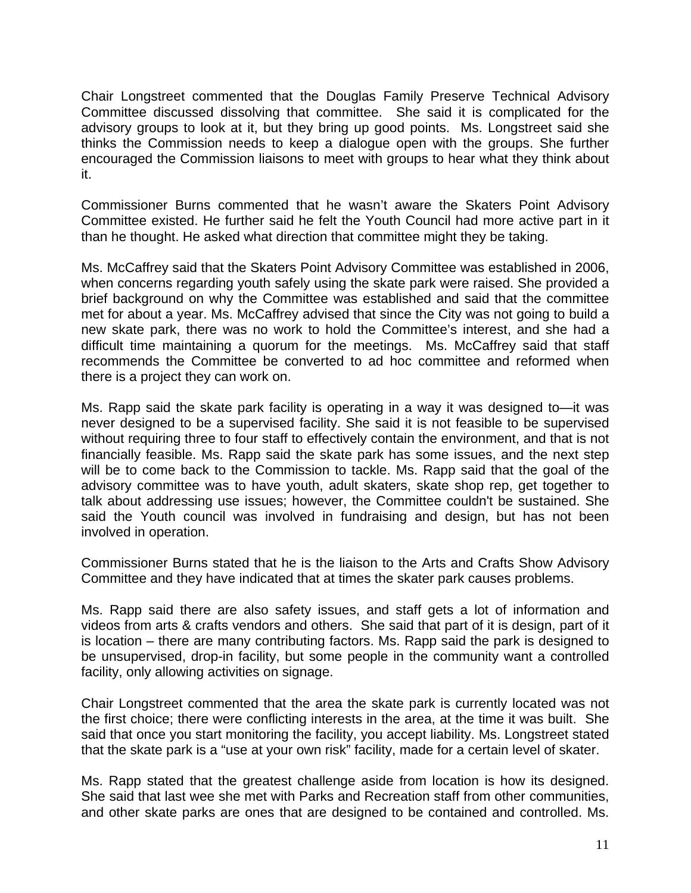Chair Longstreet commented that the Douglas Family Preserve Technical Advisory Committee discussed dissolving that committee. She said it is complicated for the advisory groups to look at it, but they bring up good points. Ms. Longstreet said she thinks the Commission needs to keep a dialogue open with the groups. She further encouraged the Commission liaisons to meet with groups to hear what they think about it.

Commissioner Burns commented that he wasn't aware the Skaters Point Advisory Committee existed. He further said he felt the Youth Council had more active part in it than he thought. He asked what direction that committee might they be taking.

Ms. McCaffrey said that the Skaters Point Advisory Committee was established in 2006, when concerns regarding youth safely using the skate park were raised. She provided a brief background on why the Committee was established and said that the committee met for about a year. Ms. McCaffrey advised that since the City was not going to build a new skate park, there was no work to hold the Committee's interest, and she had a difficult time maintaining a quorum for the meetings. Ms. McCaffrey said that staff recommends the Committee be converted to ad hoc committee and reformed when there is a project they can work on.

Ms. Rapp said the skate park facility is operating in a way it was designed to—it was never designed to be a supervised facility. She said it is not feasible to be supervised without requiring three to four staff to effectively contain the environment, and that is not financially feasible. Ms. Rapp said the skate park has some issues, and the next step will be to come back to the Commission to tackle. Ms. Rapp said that the goal of the advisory committee was to have youth, adult skaters, skate shop rep, get together to talk about addressing use issues; however, the Committee couldn't be sustained. She said the Youth council was involved in fundraising and design, but has not been involved in operation.

Commissioner Burns stated that he is the liaison to the Arts and Crafts Show Advisory Committee and they have indicated that at times the skater park causes problems.

Ms. Rapp said there are also safety issues, and staff gets a lot of information and videos from arts & crafts vendors and others. She said that part of it is design, part of it is location – there are many contributing factors. Ms. Rapp said the park is designed to be unsupervised, drop-in facility, but some people in the community want a controlled facility, only allowing activities on signage.

Chair Longstreet commented that the area the skate park is currently located was not the first choice; there were conflicting interests in the area, at the time it was built. She said that once you start monitoring the facility, you accept liability. Ms. Longstreet stated that the skate park is a "use at your own risk" facility, made for a certain level of skater.

Ms. Rapp stated that the greatest challenge aside from location is how its designed. She said that last wee she met with Parks and Recreation staff from other communities, and other skate parks are ones that are designed to be contained and controlled. Ms.